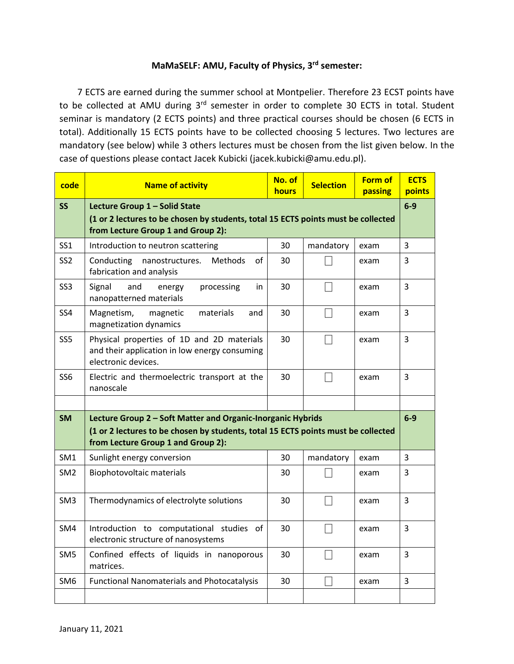# **MaMaSELF: AMU, Faculty of Physics, 3 rd semester:**

7 ECTS are earned during the summer school at Montpelier. Therefore 23 ECST points have to be collected at AMU during 3<sup>rd</sup> semester in order to complete 30 ECTS in total. Student seminar is mandatory (2 ECTS points) and three practical courses should be chosen (6 ECTS in total). Additionally 15 ECTS points have to be collected choosing 5 lectures. Two lectures are mandatory (see below) while 3 others lectures must be chosen from the list given below. In the case of questions please contact Jacek Kubicki (jacek.kubicki@amu.edu.pl).

| code            | <b>Name of activity</b>                                                                                                                                                                | No. of<br><b>hours</b> | <b>Selection</b> | <b>Form of</b><br>passing | <b>ECTS</b><br>points |  |
|-----------------|----------------------------------------------------------------------------------------------------------------------------------------------------------------------------------------|------------------------|------------------|---------------------------|-----------------------|--|
| <b>SS</b>       | Lecture Group 1 - Solid State<br>(1 or 2 lectures to be chosen by students, total 15 ECTS points must be collected<br>from Lecture Group 1 and Group 2):                               |                        |                  |                           |                       |  |
| SS <sub>1</sub> | Introduction to neutron scattering                                                                                                                                                     | 30                     | mandatory        | exam                      | 3                     |  |
| SS <sub>2</sub> | Conducting<br>nanostructures.<br>Methods<br>of<br>fabrication and analysis                                                                                                             | 30                     |                  | exam                      | 3                     |  |
| SS <sub>3</sub> | Signal<br>and<br>processing<br>in<br>energy<br>nanopatterned materials                                                                                                                 | 30                     | - 1              | exam                      | $\overline{3}$        |  |
| SS4             | Magnetism,<br>magnetic<br>materials<br>and<br>magnetization dynamics                                                                                                                   | 30                     | $\mathbf{L}$     | exam                      | 3                     |  |
| SS <sub>5</sub> | Physical properties of 1D and 2D materials<br>and their application in low energy consuming<br>electronic devices.                                                                     | 30                     |                  | exam                      | $\overline{3}$        |  |
| SS <sub>6</sub> | Electric and thermoelectric transport at the<br>nanoscale                                                                                                                              | 30                     | ×                | exam                      | $\overline{3}$        |  |
|                 |                                                                                                                                                                                        |                        |                  |                           |                       |  |
| <b>SM</b>       | Lecture Group 2 - Soft Matter and Organic-Inorganic Hybrids<br>(1 or 2 lectures to be chosen by students, total 15 ECTS points must be collected<br>from Lecture Group 1 and Group 2): |                        |                  |                           |                       |  |
| SM1             | Sunlight energy conversion                                                                                                                                                             | 30                     | mandatory        | exam                      | $\overline{3}$        |  |
| SM <sub>2</sub> | Biophotovoltaic materials                                                                                                                                                              | 30                     |                  | exam                      | 3                     |  |
| SM <sub>3</sub> | Thermodynamics of electrolyte solutions                                                                                                                                                | 30                     | m.               | exam                      | 3                     |  |
| SM4             | Introduction to computational studies of<br>electronic structure of nanosystems                                                                                                        | 30                     | - 1              | exam                      | $\overline{3}$        |  |
| SM <sub>5</sub> | Confined effects of liquids in nanoporous<br>matrices.                                                                                                                                 | 30                     | L.               | exam                      | 3                     |  |
| SM <sub>6</sub> | <b>Functional Nanomaterials and Photocatalysis</b>                                                                                                                                     | 30                     |                  | exam                      | $\overline{3}$        |  |
|                 |                                                                                                                                                                                        |                        |                  |                           |                       |  |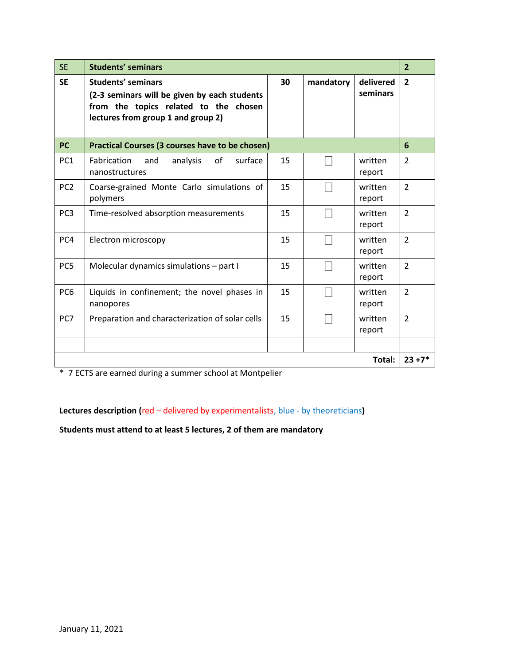| <b>SE</b>       | <b>Students' seminars</b>                                                                                                                                |    |           |                       |                |  |
|-----------------|----------------------------------------------------------------------------------------------------------------------------------------------------------|----|-----------|-----------------------|----------------|--|
| <b>SE</b>       | <b>Students' seminars</b><br>(2-3 seminars will be given by each students<br>from the topics related to the chosen<br>lectures from group 1 and group 2) | 30 | mandatory | delivered<br>seminars | $\overline{2}$ |  |
| <b>PC</b>       | <b>Practical Courses (3 courses have to be chosen)</b>                                                                                                   |    |           |                       |                |  |
| PC <sub>1</sub> | Fabrication<br>and<br>analysis<br>of<br>surface<br>nanostructures                                                                                        | 15 |           | written<br>report     | $\overline{2}$ |  |
| PC <sub>2</sub> | Coarse-grained Monte Carlo simulations of<br>polymers                                                                                                    | 15 |           | written<br>report     | $\overline{2}$ |  |
| PC <sub>3</sub> | Time-resolved absorption measurements                                                                                                                    | 15 |           | written<br>report     | $\overline{2}$ |  |
| PC4             | Electron microscopy                                                                                                                                      | 15 |           | written<br>report     | $\overline{2}$ |  |
| PC5             | Molecular dynamics simulations - part I                                                                                                                  | 15 |           | written<br>report     | $\overline{2}$ |  |
| PC <sub>6</sub> | Liquids in confinement; the novel phases in<br>nanopores                                                                                                 | 15 |           | written<br>report     | $\overline{2}$ |  |
| PC7             | Preparation and characterization of solar cells                                                                                                          | 15 |           | written<br>report     | $\overline{2}$ |  |
|                 |                                                                                                                                                          |    |           |                       |                |  |
| Total:          |                                                                                                                                                          |    |           |                       |                |  |

\* 7 ECTS are earned during a summer school at Montpelier

**Lectures description (**red – delivered by experimentalists, blue - by theoreticians**)**

**Students must attend to at least 5 lectures, 2 of them are mandatory**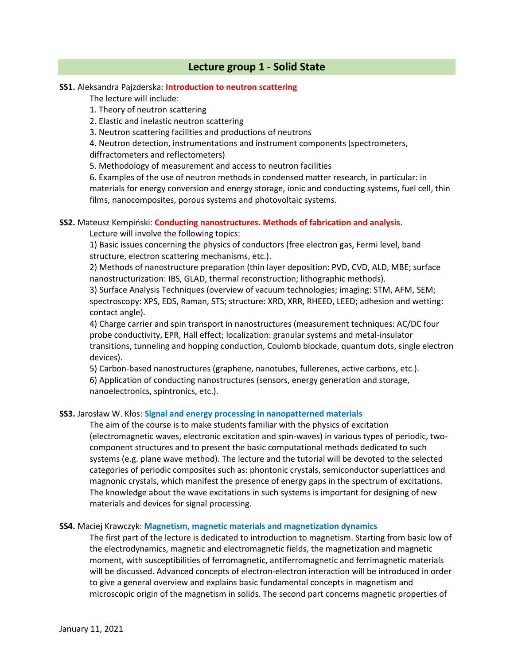## **Lecture group 1 - Solid State**

### **SS1.** Aleksandra Pajzderska: **Introduction to neutron scattering**

The lecture will include:

- 1. Theory of neutron scattering
- 2. Elastic and inelastic neutron scattering
- 3. Neutron scattering facilities and productions of neutrons

4. Neutron detection, instrumentations and instrument components (spectrometers, diffractometers and reflectometers)

5. Methodology of measurement and access to neutron facilities

6. Examples of the use of neutron methods in condensed matter research, in particular: in materials for energy conversion and energy storage, ionic and conducting systems, fuel cell, thin films, nanocomposites, porous systems and photovoltaic systems.

### **SS2.** Mateusz Kempiński: **Conducting nanostructures. Methods of fabrication and analysis**.

Lecture will involve the following topics:

1) Basic issues concerning the physics of conductors (free electron gas, Fermi level, band structure, electron scattering mechanisms, etc.).

2) Methods of nanostructure preparation (thin layer deposition: PVD, CVD, ALD, MBE; surface nanostructurization: IBS, GLAD, thermal reconstruction; lithographic methods).

3) Surface Analysis Techniques (overview of vacuum technologies; imaging: STM, AFM, SEM; spectroscopy: XPS, EDS, Raman, STS; structure: XRD, XRR, RHEED, LEED; adhesion and wetting: contact angle).

4) Charge carrier and spin transport in nanostructures (measurement techniques: AC/DC four probe conductivity, EPR, Hall effect; localization: granular systems and metal-insulator transitions, tunneling and hopping conduction, Coulomb blockade, quantum dots, single electron devices).

5) Carbon-based nanostructures (graphene, nanotubes, fullerenes, active carbons, etc.).

6) Application of conducting nanostructures (sensors, energy generation and storage, nanoelectronics, spintronics, etc.).

#### **SS3.** Jarosław W. Kłos: **Signal and energy processing in nanopatterned materials**

The aim of the course is to make students familiar with the physics of excitation (electromagnetic waves, electronic excitation and spin-waves) in various types of periodic, twocomponent structures and to present the basic computational methods dedicated to such systems (e.g. plane wave method). The lecture and the tutorial will be devoted to the selected categories of periodic composites such as: phontonic crystals, semiconductor superlattices and magnonic crystals, which manifest the presence of energy gaps in the spectrum of excitations. The knowledge about the wave excitations in such systems is important for designing of new materials and devices for signal processing.

#### **SS4.** Maciej Krawczyk: **Magnetism, magnetic materials and magnetization dynamics**

The first part of the lecture is dedicated to introduction to magnetism. Starting from basic low of the electrodynamics, magnetic and electromagnetic fields, the magnetization and magnetic moment, with susceptibilities of ferromagnetic, antiferromagnetic and ferrimagnetic materials will be discussed. Advanced concepts of electron-electron interaction will be introduced in order to give a general overview and explains basic fundamental concepts in magnetism and microscopic origin of the magnetism in solids. The second part concerns magnetic properties of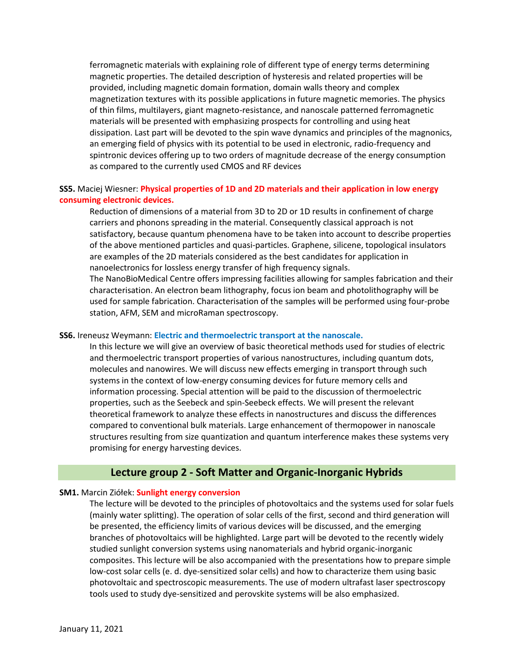ferromagnetic materials with explaining role of different type of energy terms determining magnetic properties. The detailed description of hysteresis and related properties will be provided, including magnetic domain formation, domain walls theory and complex magnetization textures with its possible applications in future magnetic memories. The physics of thin films, multilayers, giant magneto-resistance, and nanoscale patterned ferromagnetic materials will be presented with emphasizing prospects for controlling and using heat dissipation. Last part will be devoted to the spin wave dynamics and principles of the magnonics, an emerging field of physics with its potential to be used in electronic, radio-frequency and spintronic devices offering up to two orders of magnitude decrease of the energy consumption as compared to the currently used CMOS and RF devices

## **SS5.** Maciej Wiesner: **Physical properties of 1D and 2D materials and their application in low energy consuming electronic devices.**

Reduction of dimensions of a material from 3D to 2D or 1D results in confinement of charge carriers and phonons spreading in the material. Consequently classical approach is not satisfactory, because quantum phenomena have to be taken into account to describe properties of the above mentioned particles and quasi-particles. Graphene, silicene, topological insulators are examples of the 2D materials considered as the best candidates for application in nanoelectronics for lossless energy transfer of high frequency signals. The NanoBioMedical Centre offers impressing facilities allowing for samples fabrication and their characterisation. An electron beam lithography, focus ion beam and photolithography will be used for sample fabrication. Characterisation of the samples will be performed using four-probe station, AFM, SEM and microRaman spectroscopy.

#### **SS6.** Ireneusz Weymann: **Electric and thermoelectric transport at the nanoscale.**

In this lecture we will give an overview of basic theoretical methods used for studies of electric and thermoelectric transport properties of various nanostructures, including quantum dots, molecules and nanowires. We will discuss new effects emerging in transport through such systems in the context of low-energy consuming devices for future memory cells and information processing. Special attention will be paid to the discussion of thermoelectric properties, such as the Seebeck and spin-Seebeck effects. We will present the relevant theoretical framework to analyze these effects in nanostructures and discuss the differences compared to conventional bulk materials. Large enhancement of thermopower in nanoscale structures resulting from size quantization and quantum interference makes these systems very promising for energy harvesting devices.

## **Lecture group 2 - Soft Matter and Organic-Inorganic Hybrids**

## **SM1.** Marcin Ziółek: **Sunlight energy conversion**

The lecture will be devoted to the principles of photovoltaics and the systems used for solar fuels (mainly water splitting). The operation of solar cells of the first, second and third generation will be presented, the efficiency limits of various devices will be discussed, and the emerging branches of photovoltaics will be highlighted. Large part will be devoted to the recently widely studied sunlight conversion systems using nanomaterials and hybrid organic-inorganic composites. This lecture will be also accompanied with the presentations how to prepare simple low-cost solar cells (e. d. dye-sensitized solar cells) and how to characterize them using basic photovoltaic and spectroscopic measurements. The use of modern ultrafast laser spectroscopy tools used to study dye-sensitized and perovskite systems will be also emphasized.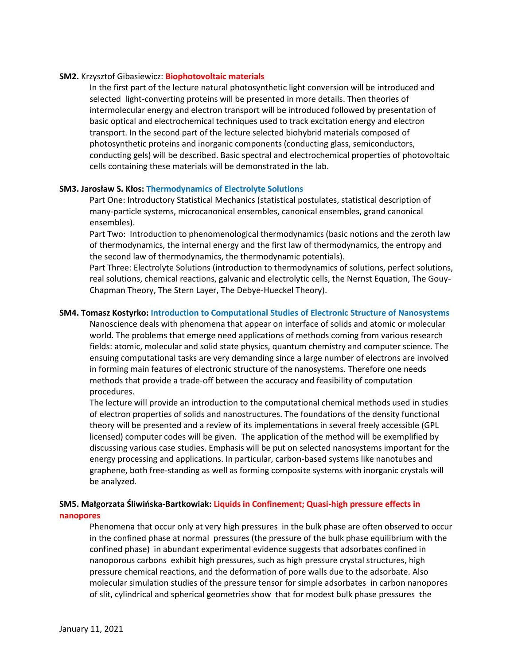#### **SM2.** Krzysztof Gibasiewicz: **Biophotovoltaic materials**

In the first part of the lecture natural photosynthetic light conversion will be introduced and selected light-converting proteins will be presented in more details. Then theories of intermolecular energy and electron transport will be introduced followed by presentation of basic optical and electrochemical techniques used to track excitation energy and electron transport. In the second part of the lecture selected biohybrid materials composed of photosynthetic proteins and inorganic components (conducting glass, semiconductors, conducting gels) will be described. Basic spectral and electrochemical properties of photovoltaic cells containing these materials will be demonstrated in the lab.

### **SM3. Jarosław S. Kłos: Thermodynamics of Electrolyte Solutions**

Part One: Introductory Statistical Mechanics (statistical postulates, statistical description of many-particle systems, microcanonical ensembles, canonical ensembles, grand canonical ensembles).

Part Two: Introduction to phenomenological thermodynamics (basic notions and the zeroth law of thermodynamics, the internal energy and the first law of thermodynamics, the entropy and the second law of thermodynamics, the thermodynamic potentials).

Part Three: Electrolyte Solutions (introduction to thermodynamics of solutions, perfect solutions, real solutions, chemical reactions, galvanic and electrolytic cells, the Nernst Equation, The Gouy-Chapman Theory, The Stern Layer, The Debye-Hueckel Theory).

## **SM4. Tomasz Kostyrko: Introduction to Computational Studies of Electronic Structure of Nanosystems**

Nanoscience deals with phenomena that appear on interface of solids and atomic or molecular world. The problems that emerge need applications of methods coming from various research fields: atomic, molecular and solid state physics, quantum chemistry and computer science. The ensuing computational tasks are very demanding since a large number of electrons are involved in forming main features of electronic structure of the nanosystems. Therefore one needs methods that provide a trade-off between the accuracy and feasibility of computation procedures.

The lecture will provide an introduction to the computational chemical methods used in studies of electron properties of solids and nanostructures. The foundations of the density functional theory will be presented and a review of its implementations in several freely accessible (GPL licensed) computer codes will be given. The application of the method will be exemplified by discussing various case studies. Emphasis will be put on selected nanosystems important for the energy processing and applications. In particular, carbon-based systems like nanotubes and graphene, both free-standing as well as forming composite systems with inorganic crystals will be analyzed.

## **SM5. Małgorzata Śliwińska-Bartkowiak: Liquids in Confinement; Quasi-high pressure effects in nanopores**

Phenomena that occur only at very high pressures in the bulk phase are often observed to occur in the confined phase at normal pressures (the pressure of the bulk phase equilibrium with the confined phase) in abundant experimental evidence suggests that adsorbates confined in nanoporous carbons exhibit high pressures, such as high pressure crystal structures, high pressure chemical reactions, and the deformation of pore walls due to the adsorbate. Also molecular simulation studies of the pressure tensor for simple adsorbates in carbon nanopores of slit, cylindrical and spherical geometries show that for modest bulk phase pressures the